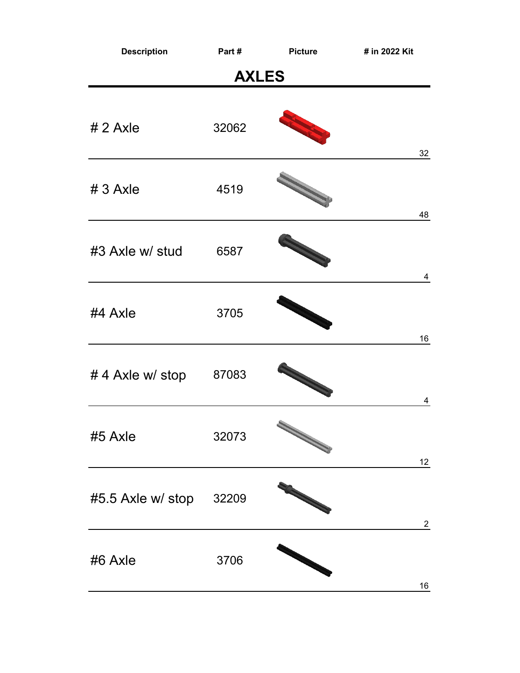| <b>Description</b>      | Part#        | <b>Picture</b> | # in 2022 Kit   |
|-------------------------|--------------|----------------|-----------------|
|                         | <b>AXLES</b> |                |                 |
| $# 2$ Axle              | 32062        |                | 32              |
| $# 3$ Axle              | 4519         | N              | 48              |
| #3 Axle w/ stud         | 6587         |                | 4               |
| #4 Axle                 | 3705         |                | 16              |
| #4 Axle w/ stop         | 87083        |                | 4               |
| #5 Axle                 | 32073        |                | 12 <sub>2</sub> |
| #5.5 Axle w/ stop 32209 |              |                | $\overline{2}$  |
| #6 Axle                 | 3706         |                | 16              |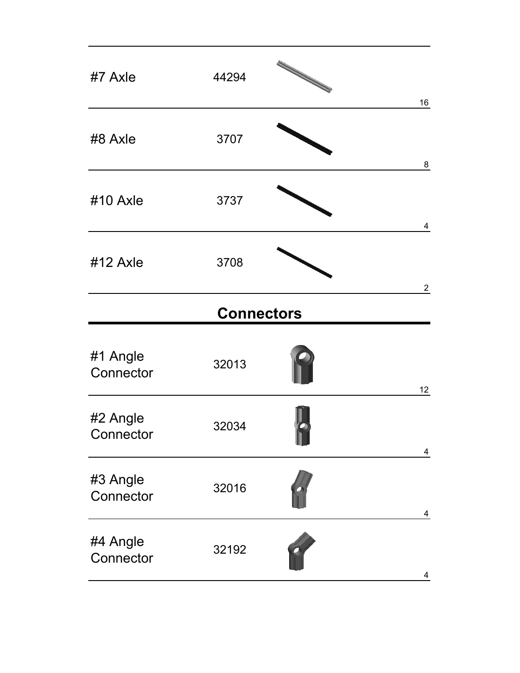| #7 Axle               | 44294             | 16              |
|-----------------------|-------------------|-----------------|
| #8 Axle               | 3707              | 8               |
| #10 Axle              | 3737              | $\overline{4}$  |
| #12 Axle              | 3708              | $\overline{2}$  |
|                       | <b>Connectors</b> |                 |
| #1 Angle<br>Connector | 32013             | 12 <sub>2</sub> |
| #2 Angle<br>Connector | 32034             | 4               |
| #3 Angle<br>Connector | 32016             | 4               |
| #4 Angle<br>Connector | 32192             | 4               |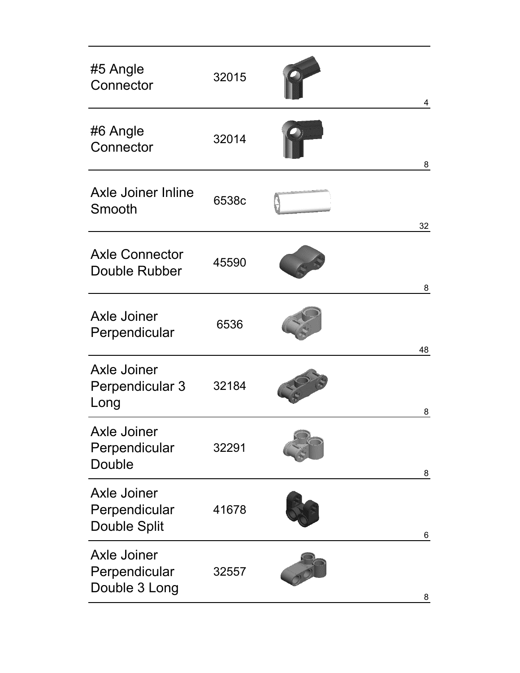| #5 Angle<br>Connector                                      | 32015 | 4  |
|------------------------------------------------------------|-------|----|
| #6 Angle<br>Connector                                      | 32014 | 8  |
| <b>Axle Joiner Inline</b><br>Smooth                        | 6538c | 32 |
| <b>Axle Connector</b><br><b>Double Rubber</b>              | 45590 | 8  |
| <b>Axle Joiner</b><br>Perpendicular                        | 6536  | 48 |
| <b>Axle Joiner</b><br>Perpendicular 3<br>Long              | 32184 | 8  |
| <b>Axle Joiner</b><br>Perpendicular<br>Double              | 32291 | 8  |
| <b>Axle Joiner</b><br>Perpendicular<br><b>Double Split</b> | 41678 | 6  |
| <b>Axle Joiner</b><br>Perpendicular<br>Double 3 Long       | 32557 | 8  |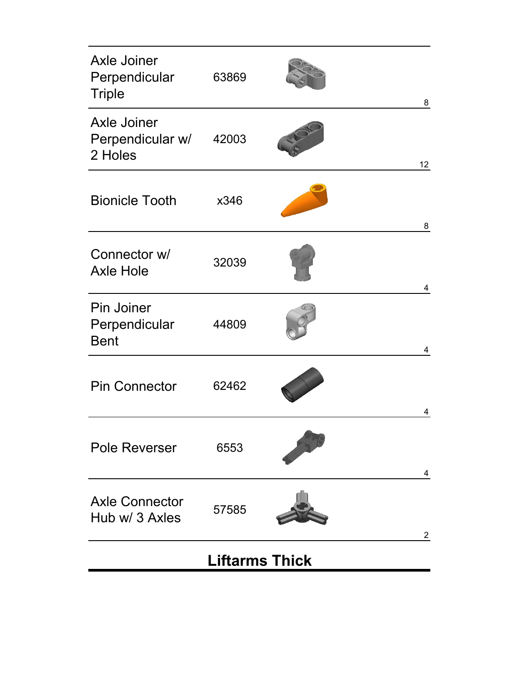| <b>Axle Joiner</b><br>Perpendicular<br><b>Triple</b> | 63869                 | 8               |
|------------------------------------------------------|-----------------------|-----------------|
| <b>Axle Joiner</b><br>Perpendicular w/<br>2 Holes    | 42003                 | 12 <sub>2</sub> |
| <b>Bionicle Tooth</b>                                | x346                  | 8               |
| Connector w/<br><b>Axle Hole</b>                     | 32039                 | 4               |
| <b>Pin Joiner</b><br>Perpendicular<br><b>Bent</b>    | 44809                 | 4               |
| <b>Pin Connector</b>                                 | 62462                 | 4               |
| <b>Pole Reverser</b>                                 | 6553                  | 4               |
| <b>Axle Connector</b><br>Hub w/ 3 Axles              | 57585                 | $\overline{2}$  |
|                                                      | <b>Liftarms Thick</b> |                 |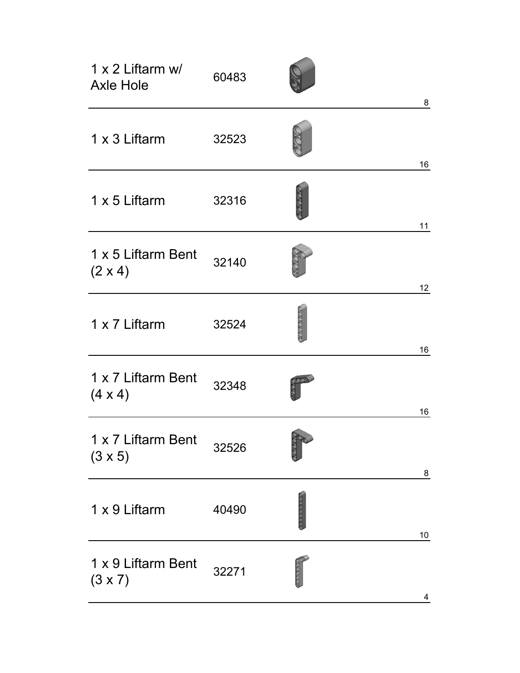| 1 x 2 Liftarm w/<br><b>Axle Hole</b> | 60483 |              |                         |
|--------------------------------------|-------|--------------|-------------------------|
|                                      |       |              | 8                       |
| 1 x 3 Liftarm                        | 32523 |              | 16                      |
| 1 x 5 Liftarm                        | 32316 |              | 11                      |
| 1 x 5 Liftarm Bent<br>$(2 \times 4)$ | 32140 |              | 12 <sub>2</sub>         |
| 1 x 7 Liftarm                        | 32524 | RESERVE      | 16                      |
| 1 x 7 Liftarm Bent<br>$(4 \times 4)$ | 32348 |              | 16                      |
| 1 x 7 Liftarm Bent<br>$(3 \times 5)$ | 32526 | <b>SKIKO</b> | 8                       |
| 1 x 9 Liftarm                        | 40490 | RESERVE RE   | $10\,$                  |
| 1 x 9 Liftarm Bent<br>$(3 \times 7)$ | 32271 | cococo       | $\overline{\mathbf{4}}$ |
|                                      |       |              |                         |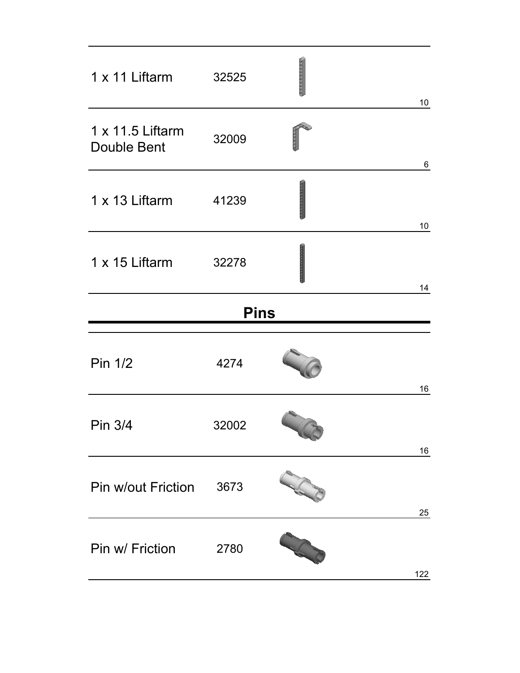| 1 x 11 Liftarm                         | 32525       | monoranchen | 10    |
|----------------------------------------|-------------|-------------|-------|
| 1 x 11.5 Liftarm<br><b>Double Bent</b> | 32009       |             | $\,6$ |
| 1 x 13 Liftarm                         | 41239       |             | 10    |
| 1 x 15 Liftarm                         | 32278       |             | 14    |
|                                        | <b>Pins</b> |             |       |
| Pin 1/2                                | 4274        |             | 16    |
| Pin 3/4                                | 32002       |             | 16    |
| <b>Pin w/out Friction</b>              | 3673        |             | 25    |
| Pin w/ Friction                        | 2780        |             | 122   |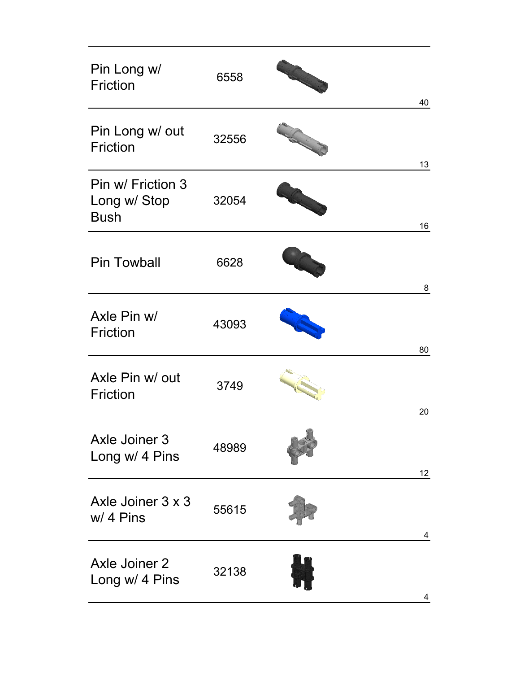| Pin Long w/<br><b>Friction</b>                   | 6558  |   | 40              |
|--------------------------------------------------|-------|---|-----------------|
| Pin Long w/ out<br><b>Friction</b>               | 32556 | S | 13              |
| Pin w/ Friction 3<br>Long w/ Stop<br><b>Bush</b> | 32054 |   | 16              |
| <b>Pin Towball</b>                               | 6628  |   | 8               |
| Axle Pin w/<br><b>Friction</b>                   | 43093 |   | 80              |
| Axle Pin w/ out<br><b>Friction</b>               | 3749  |   | 20              |
| <b>Axle Joiner 3</b><br>Long w/ 4 Pins           | 48989 |   | 12 <sub>2</sub> |
| Axle Joiner 3 x 3<br>w/ 4 Pins                   | 55615 |   | 4               |
| <b>Axle Joiner 2</b><br>Long w/ 4 Pins           | 32138 |   | 4               |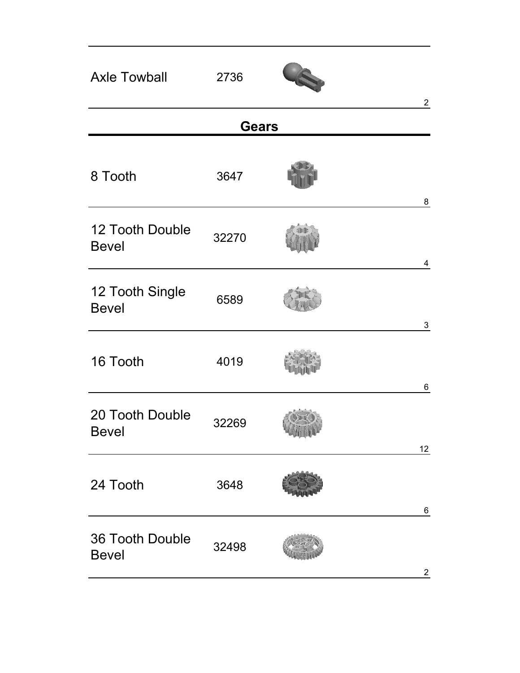| <b>Axle Towball</b>             | 2736         | $\overline{2}$  |
|---------------------------------|--------------|-----------------|
|                                 | <b>Gears</b> |                 |
| 8 Tooth                         | 3647         | 8               |
| 12 Tooth Double<br><b>Bevel</b> | 32270        | $\overline{4}$  |
| 12 Tooth Single<br><b>Bevel</b> | 6589         | $\mathbf{3}$    |
| 16 Tooth                        | 4019         | 6               |
| 20 Tooth Double<br><b>Bevel</b> | 32269        | 12 <sub>2</sub> |
| 24 Tooth                        | 3648         | $\,6$           |
| 36 Tooth Double<br><b>Bevel</b> | 32498        | $\overline{2}$  |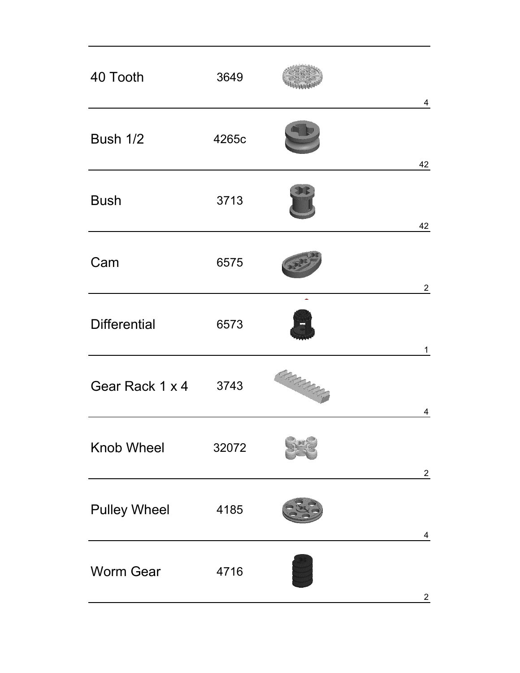| 40 Tooth             | 3649  |           | $\overline{4}$ |
|----------------------|-------|-----------|----------------|
| Bush 1/2             | 4265c |           | 42             |
| <b>Bush</b>          | 3713  |           | 42             |
| Cam                  | 6575  |           | $\overline{2}$ |
| <b>Differential</b>  | 6573  |           | $\mathbf{1}$   |
| Gear Rack 1 x 4 3743 |       | GRANDS OF | 4              |
| <b>Knob Wheel</b>    | 32072 |           | $\overline{c}$ |
| <b>Pulley Wheel</b>  | 4185  |           | $\overline{4}$ |
| <b>Worm Gear</b>     | 4716  |           | $\overline{2}$ |
|                      |       |           |                |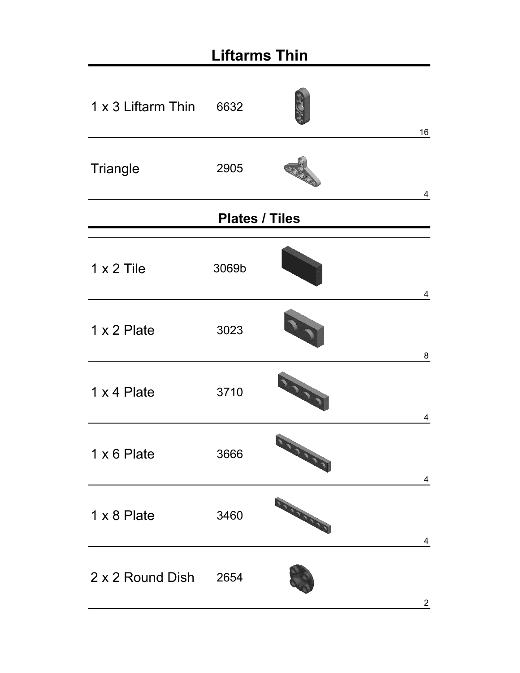| <b>Liftarms Thin</b>  |                       |                           |                         |
|-----------------------|-----------------------|---------------------------|-------------------------|
| 1 x 3 Liftarm Thin    | 6632                  |                           | 16                      |
| Triangle              | 2905                  |                           | 4                       |
|                       | <b>Plates / Tiles</b> |                           |                         |
| $1 \times 2$ Tile     | 3069b                 |                           | 4                       |
| 1 x 2 Plate           | 3023                  |                           | 8                       |
| 1 x 4 Plate           | 3710                  | <b>DOOR</b>               | $\overline{\mathbf{4}}$ |
| 1 x 6 Plate           | 3666                  | <b>DOOR OF</b>            | $\overline{4}$          |
| 1 x 8 Plate           | 3460                  | <b>STATES OF THE REAL</b> | 4                       |
| 2 x 2 Round Dish 2654 |                       |                           | $\overline{2}$          |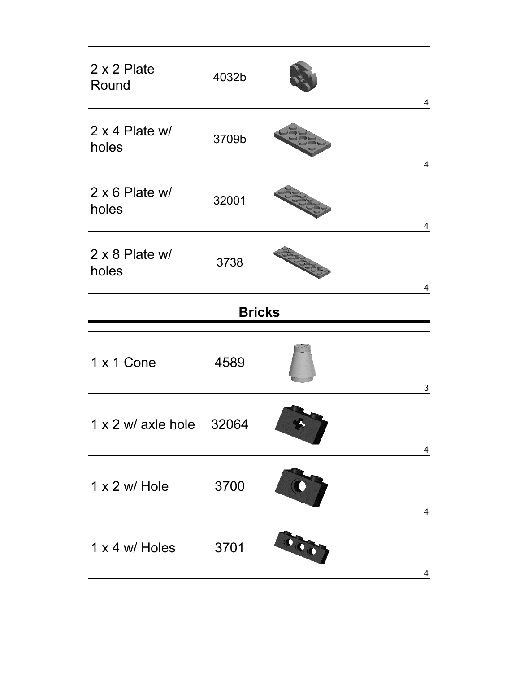| 2 x 2 Plate<br>Round     | 4032b |               | $\overline{4}$ |
|--------------------------|-------|---------------|----------------|
| 2 x 4 Plate w/<br>holes  | 3709b |               | $\overline{4}$ |
| 2 x 6 Plate w/<br>holes  | 32001 |               | 4              |
| 2 x 8 Plate w/<br>holes  | 3738  |               | 4              |
|                          |       | <b>Bricks</b> |                |
| 1 x 1 Cone               | 4589  |               | $\mathbf 3$    |
| 1 x 2 w/ axle hole 32064 |       |               | 4              |
| $1 \times 2$ w/ Hole     | 3700  |               | 4              |
| 1 x 4 w/ Holes           | 3701  | O             | 4              |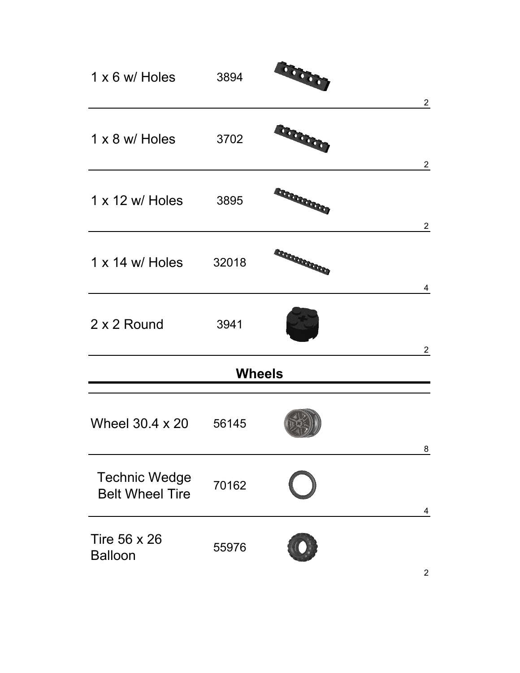| 1 x 6 w/ Holes 3894                            |               | 00000                 | $\overline{2}$ |
|------------------------------------------------|---------------|-----------------------|----------------|
| 1 x 8 w/ Holes 3702                            |               | <b>BOODOOO</b>        | $\overline{2}$ |
| 1 x 12 w/ Holes 3895                           |               | <b>SECRET CORPORA</b> | $\overline{2}$ |
| 1 x 14 w/ Holes 32018                          |               | <b>EXPERIENCE</b>     | 4              |
| 2 x 2 Round                                    | 3941          |                       | $\overline{2}$ |
|                                                | <b>Wheels</b> |                       |                |
| Wheel 30.4 x 20 56145                          |               |                       | 8              |
| <b>Technic Wedge</b><br><b>Belt Wheel Tire</b> | 70162         |                       | 4              |
| <b>Tire 56 x 26</b><br><b>Balloon</b>          | 55976         |                       |                |